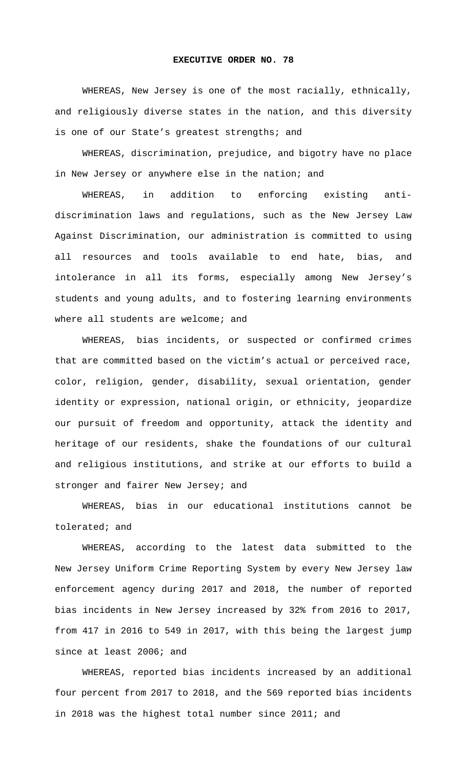## **EXECUTIVE ORDER NO. 78**

WHEREAS, New Jersey is one of the most racially, ethnically, and religiously diverse states in the nation, and this diversity is one of our State's greatest strengths; and

WHEREAS, discrimination, prejudice, and bigotry have no place in New Jersey or anywhere else in the nation; and

WHEREAS, in addition to enforcing existing antidiscrimination laws and regulations, such as the New Jersey Law Against Discrimination, our administration is committed to using all resources and tools available to end hate, bias, and intolerance in all its forms, especially among New Jersey's students and young adults, and to fostering learning environments where all students are welcome; and

WHEREAS, bias incidents, or suspected or confirmed crimes that are committed based on the victim's actual or perceived race, color, religion, gender, disability, sexual orientation, gender identity or expression, national origin, or ethnicity, jeopardize our pursuit of freedom and opportunity, attack the identity and heritage of our residents, shake the foundations of our cultural and religious institutions, and strike at our efforts to build a stronger and fairer New Jersey; and

WHEREAS, bias in our educational institutions cannot be tolerated; and

WHEREAS, according to the latest data submitted to the New Jersey Uniform Crime Reporting System by every New Jersey law enforcement agency during 2017 and 2018, the number of reported bias incidents in New Jersey increased by 32% from 2016 to 2017, from 417 in 2016 to 549 in 2017, with this being the largest jump since at least 2006; and

WHEREAS, reported bias incidents increased by an additional four percent from 2017 to 2018, and the 569 reported bias incidents in 2018 was the highest total number since 2011; and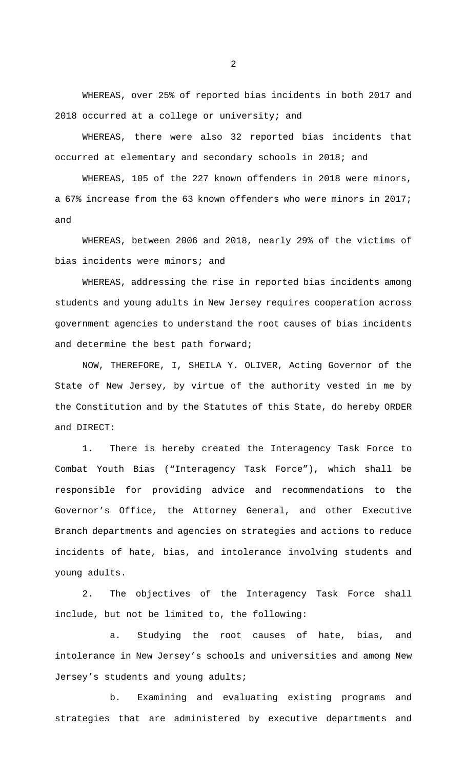WHEREAS, over 25% of reported bias incidents in both 2017 and 2018 occurred at a college or university; and

WHEREAS, there were also 32 reported bias incidents that occurred at elementary and secondary schools in 2018; and

WHEREAS, 105 of the 227 known offenders in 2018 were minors, a 67% increase from the 63 known offenders who were minors in 2017; and

WHEREAS, between 2006 and 2018, nearly 29% of the victims of bias incidents were minors; and

WHEREAS, addressing the rise in reported bias incidents among students and young adults in New Jersey requires cooperation across government agencies to understand the root causes of bias incidents and determine the best path forward;

NOW, THEREFORE, I, SHEILA Y. OLIVER, Acting Governor of the State of New Jersey, by virtue of the authority vested in me by the Constitution and by the Statutes of this State, do hereby ORDER and DIRECT:

1. There is hereby created the Interagency Task Force to Combat Youth Bias ("Interagency Task Force"), which shall be responsible for providing advice and recommendations to the Governor's Office, the Attorney General, and other Executive Branch departments and agencies on strategies and actions to reduce incidents of hate, bias, and intolerance involving students and young adults.

2. The objectives of the Interagency Task Force shall include, but not be limited to, the following:

a. Studying the root causes of hate, bias, and intolerance in New Jersey's schools and universities and among New Jersey's students and young adults;

b. Examining and evaluating existing programs and strategies that are administered by executive departments and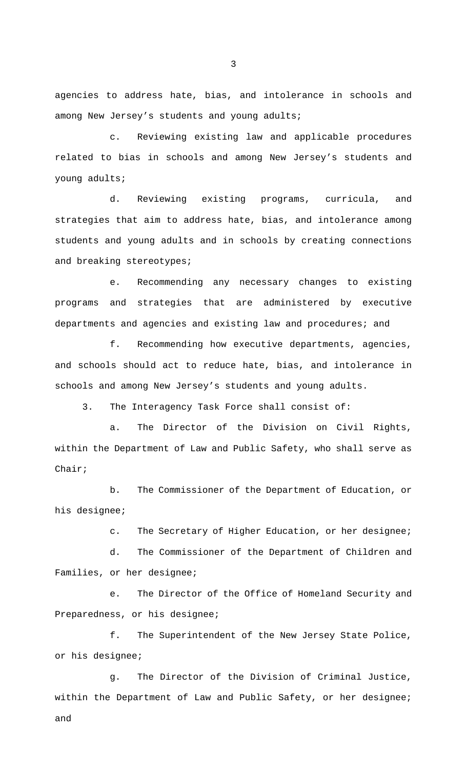agencies to address hate, bias, and intolerance in schools and among New Jersey's students and young adults;

c. Reviewing existing law and applicable procedures related to bias in schools and among New Jersey's students and young adults;

d. Reviewing existing programs, curricula, and strategies that aim to address hate, bias, and intolerance among students and young adults and in schools by creating connections and breaking stereotypes;

e. Recommending any necessary changes to existing programs and strategies that are administered by executive departments and agencies and existing law and procedures; and

f. Recommending how executive departments, agencies, and schools should act to reduce hate, bias, and intolerance in schools and among New Jersey's students and young adults.

3. The Interagency Task Force shall consist of:

a. The Director of the Division on Civil Rights, within the Department of Law and Public Safety, who shall serve as Chair;

b. The Commissioner of the Department of Education, or his designee;

c. The Secretary of Higher Education, or her designee;

d. The Commissioner of the Department of Children and Families, or her designee;

e. The Director of the Office of Homeland Security and Preparedness, or his designee;

f. The Superintendent of the New Jersey State Police, or his designee;

g. The Director of the Division of Criminal Justice, within the Department of Law and Public Safety, or her designee; and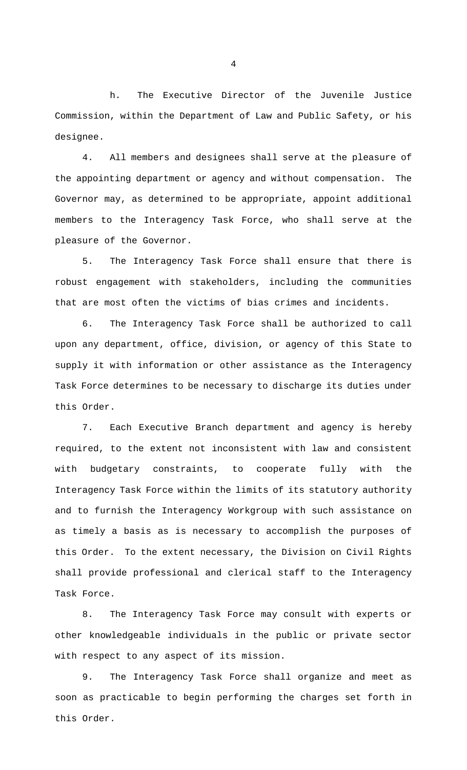h. The Executive Director of the Juvenile Justice Commission, within the Department of Law and Public Safety, or his designee.

4. All members and designees shall serve at the pleasure of the appointing department or agency and without compensation. The Governor may, as determined to be appropriate, appoint additional members to the Interagency Task Force, who shall serve at the pleasure of the Governor.

5. The Interagency Task Force shall ensure that there is robust engagement with stakeholders, including the communities that are most often the victims of bias crimes and incidents.

6. The Interagency Task Force shall be authorized to call upon any department, office, division, or agency of this State to supply it with information or other assistance as the Interagency Task Force determines to be necessary to discharge its duties under this Order.

7. Each Executive Branch department and agency is hereby required, to the extent not inconsistent with law and consistent with budgetary constraints, to cooperate fully with the Interagency Task Force within the limits of its statutory authority and to furnish the Interagency Workgroup with such assistance on as timely a basis as is necessary to accomplish the purposes of this Order. To the extent necessary, the Division on Civil Rights shall provide professional and clerical staff to the Interagency Task Force.

8. The Interagency Task Force may consult with experts or other knowledgeable individuals in the public or private sector with respect to any aspect of its mission.

9. The Interagency Task Force shall organize and meet as soon as practicable to begin performing the charges set forth in this Order.